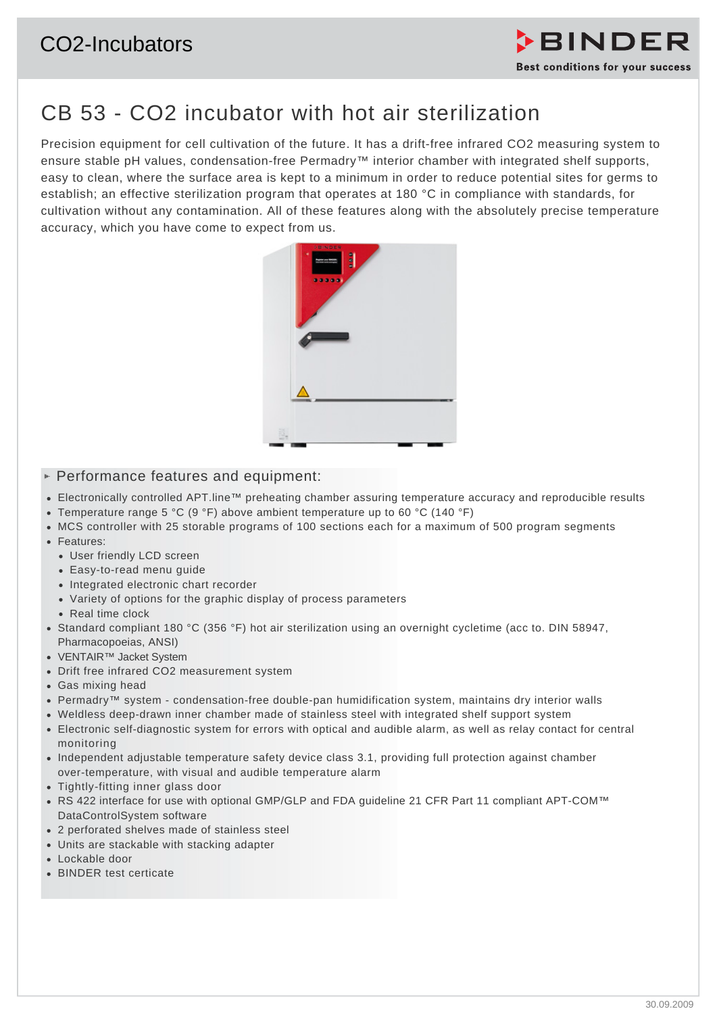# CO2-Incubators



# CB 53 - CO2 incubator with hot air sterilization

Precision equipment for cell cultivation of the future. It has a drift-free infrared CO2 measuring system to ensure stable pH values, condensation-free Permadry™ interior chamber with integrated shelf supports, easy to clean, where the surface area is kept to a minimum in order to reduce potential sites for germs to establish; an effective sterilization program that operates at 180 °C in compliance with standards, for cultivation without any contamination. All of these features along with the absolutely precise temperature accuracy, which you have come to expect from us.



### $\triangleright$  Performance features and equipment:

- Electronically controlled APT.line™ preheating chamber assuring temperature accuracy and reproducible results
- Temperature range 5 °C (9 °F) above ambient temperature up to 60 °C (140 °F)
- MCS controller with 25 storable programs of 100 sections each for a maximum of 500 program segments
- Features:
	- User friendly LCD screen
	- Easy-to-read menu guide
	- Integrated electronic chart recorder
	- Variety of options for the graphic display of process parameters
	- Real time clock
- Standard compliant 180 °C (356 °F) hot air sterilization using an overnight cycletime (acc to. DIN 58947, Pharmacopoeias, ANSI)
- VENTAIR™ Jacket System
- Drift free infrared CO2 measurement system
- Gas mixing head
- Permadry™ system condensation-free double-pan humidification system, maintains dry interior walls
- Weldless deep-drawn inner chamber made of stainless steel with integrated shelf support system
- Electronic self-diagnostic system for errors with optical and audible alarm, as well as relay contact for central monitoring
- Independent adjustable temperature safety device class 3.1, providing full protection against chamber over-temperature, with visual and audible temperature alarm
- Tightly-fitting inner glass door
- RS 422 interface for use with optional GMP/GLP and FDA guideline 21 CFR Part 11 compliant APT-COM™ DataControlSystem software
- 2 perforated shelves made of stainless steel
- Units are stackable with stacking adapter
- Lockable door
- BINDER test certicate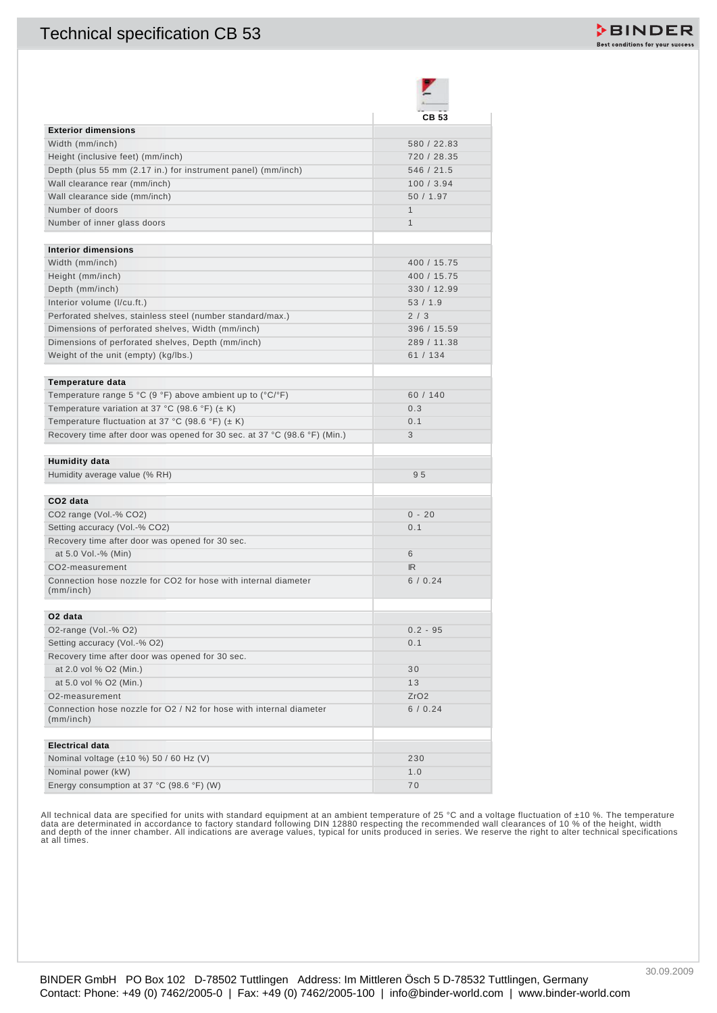## Technical specification CB 53



|                                                                                                                 | <b>CB 53</b>       |
|-----------------------------------------------------------------------------------------------------------------|--------------------|
| <b>Exterior dimensions</b>                                                                                      |                    |
| Width (mm/inch)                                                                                                 | 580 / 22.83        |
| Height (inclusive feet) (mm/inch)                                                                               | 720 / 28.35        |
| Depth (plus 55 mm (2.17 in.) for instrument panel) (mm/inch)                                                    | 546 / 21.5         |
| Wall clearance rear (mm/inch)                                                                                   | 100/3.94           |
| Wall clearance side (mm/inch)                                                                                   | 50 / 1.97          |
| Number of doors                                                                                                 | 1                  |
| Number of inner glass doors                                                                                     | $\mathbf{1}$       |
| <b>Interior dimensions</b>                                                                                      |                    |
|                                                                                                                 | 400 / 15.75        |
| Width (mm/inch)                                                                                                 |                    |
| Height (mm/inch)                                                                                                | 400 / 15.75        |
| Depth (mm/inch)                                                                                                 | 330 / 12.99        |
| Interior volume (I/cu.ft.)                                                                                      | 53/1.9             |
| Perforated shelves, stainless steel (number standard/max.)<br>Dimensions of perforated shelves, Width (mm/inch) | 2/3<br>396 / 15.59 |
|                                                                                                                 | 289 / 11.38        |
| Dimensions of perforated shelves, Depth (mm/inch)<br>Weight of the unit (empty) (kg/lbs.)                       | 61 / 134           |
|                                                                                                                 |                    |
| Temperature data                                                                                                |                    |
| Temperature range 5 °C (9 °F) above ambient up to (°C/°F)                                                       | 60 / 140           |
| Temperature variation at 37 °C (98.6 °F) ( $\pm$ K)                                                             | 0.3                |
| Temperature fluctuation at 37 °C (98.6 °F) ( $\pm$ K)                                                           | 0.1                |
| Recovery time after door was opened for 30 sec. at 37 °C (98.6 °F) (Min.)                                       | 3                  |
| Humidity data                                                                                                   |                    |
| Humidity average value (% RH)                                                                                   | 95                 |
| CO <sub>2</sub> data                                                                                            |                    |
| CO2 range (Vol.-% CO2)                                                                                          | $0 - 20$           |
| Setting accuracy (Vol.-% CO2)                                                                                   | 0.1                |
| Recovery time after door was opened for 30 sec.                                                                 |                    |
| at 5.0 Vol.-% (Min)                                                                                             | 6                  |
| CO2-measurement                                                                                                 | IR                 |
| Connection hose nozzle for CO2 for hose with internal diameter                                                  | 6/0.24             |
| (mm/inch)                                                                                                       |                    |
| O <sub>2</sub> data                                                                                             |                    |
| O2-range (Vol.-% O2)                                                                                            | $0.2 - 95$         |
| Setting accuracy (Vol.-% O2)                                                                                    | 0.1                |
| Recovery time after door was opened for 30 sec.                                                                 |                    |
| at 2.0 vol % O2 (Min.)                                                                                          | 30                 |
| at 5.0 vol % O2 (Min.)                                                                                          | 13                 |
| O <sub>2</sub> -measurement                                                                                     | ZrO2               |
| Connection hose nozzle for Q2 / N2 for hose with internal diameter<br>(mm/inch)                                 | 6/0.24             |
| <b>Electrical data</b>                                                                                          |                    |
| Nominal voltage (±10 %) 50 / 60 Hz (V)                                                                          | 230                |
| Nominal power (kW)                                                                                              | 1.0                |
| Energy consumption at 37 °C (98.6 °F) (W)                                                                       | 70                 |
|                                                                                                                 |                    |

All technical data are specified for units with standard equipment at an ambient temperature of 25 °C and a voltage fluctuation of ±10 %. The temperature<br>data are determinated in accordance to factory standard following DI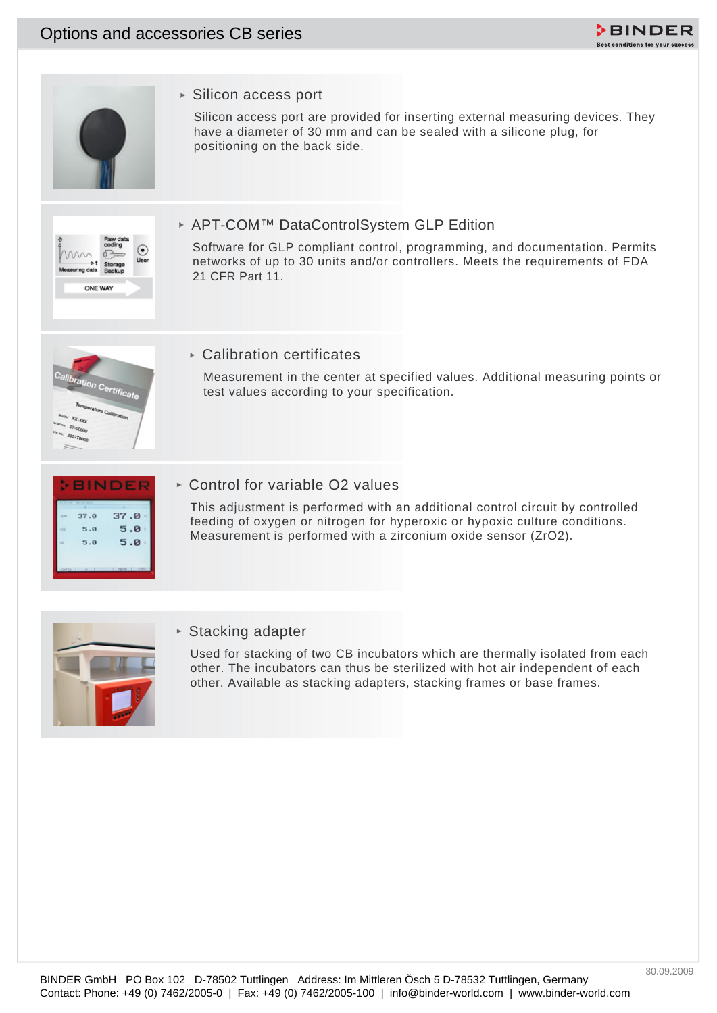## Options and accessories CB series





► Silicon access port

Silicon access port are provided for inserting external measuring devices. They have a diameter of 30 mm and can be sealed with a silicone plug, for positioning on the back side.



### APT-COM™ DataControlSystem GLP Edition

Software for GLP compliant control, programming, and documentation. Permits networks of up to 30 units and/or controllers. Meets the requirements of FDA 21 CFR Part 11.



### $\triangleright$  Calibration certificates

Measurement in the center at specified values. Additional measuring points or test values according to your specification.

|         | 37.0 | 37.0     |
|---------|------|----------|
| coz     | 5.0  | 5.0      |
| $^{12}$ | 5.0  | 5.0<br>× |

► Control for variable O2 values

This adjustment is performed with an additional control circuit by controlled feeding of oxygen or nitrogen for hyperoxic or hypoxic culture conditions. Measurement is performed with a zirconium oxide sensor (ZrO2).



#### ► Stacking adapter

Used for stacking of two CB incubators which are thermally isolated from each other. The incubators can thus be sterilized with hot air independent of each other. Available as stacking adapters, stacking frames or base frames.